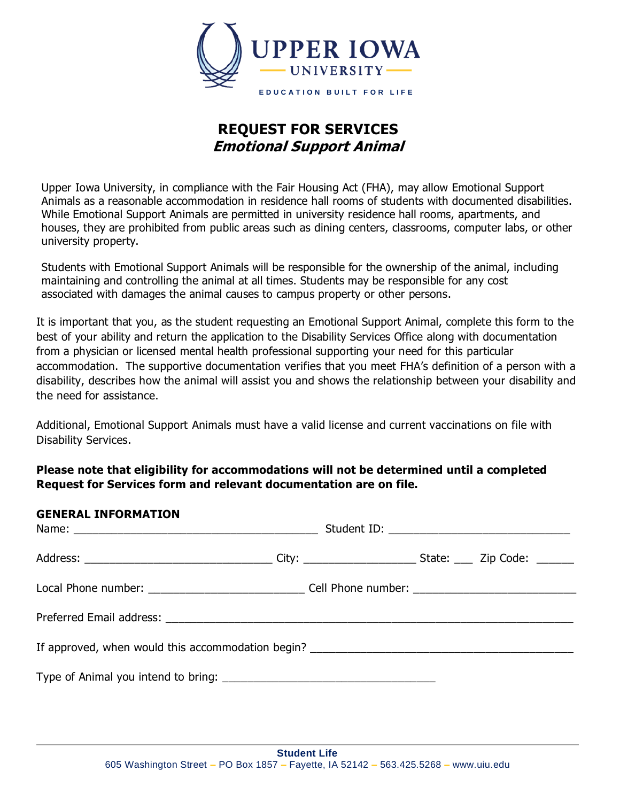

## **REQUEST FOR SERVICES Emotional Support Animal**

Upper Iowa University, in compliance with the Fair Housing Act (FHA), may allow Emotional Support Animals as a reasonable accommodation in residence hall rooms of students with documented disabilities. While Emotional Support Animals are permitted in university residence hall rooms, apartments, and houses, they are prohibited from public areas such as dining centers, classrooms, computer labs, or other university property.

Students with Emotional Support Animals will be responsible for the ownership of the animal, including maintaining and controlling the animal at all times. Students may be responsible for any cost associated with damages the animal causes to campus property or other persons.

It is important that you, as the student requesting an Emotional Support Animal, complete this form to the best of your ability and return the application to the Disability Services Office along with documentation from a physician or licensed mental health professional supporting your need for this particular accommodation. The supportive documentation verifies that you meet FHA's definition of a person with a disability, describes how the animal will assist you and shows the relationship between your disability and the need for assistance.

Additional, Emotional Support Animals must have a valid license and current vaccinations on file with Disability Services.

**Please note that eligibility for accommodations will not be determined until a completed Request for Services form and relevant documentation are on file.** 

# **GENERAL INFORMATION**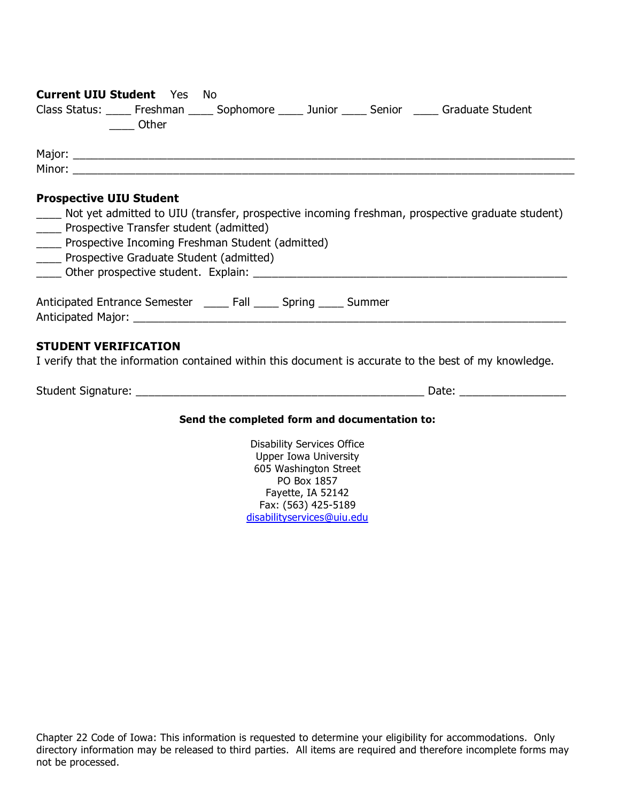| <b>Current UIU Student</b> Yes No                                                        |                                                                                                       |
|------------------------------------------------------------------------------------------|-------------------------------------------------------------------------------------------------------|
| Class Status: ____ Freshman ____ Sophomore ____ Junior ____ Senior ____ Graduate Student |                                                                                                       |
| <b>Other</b>                                                                             |                                                                                                       |
|                                                                                          |                                                                                                       |
|                                                                                          |                                                                                                       |
|                                                                                          |                                                                                                       |
|                                                                                          |                                                                                                       |
| <b>Prospective UIU Student</b>                                                           |                                                                                                       |
|                                                                                          | Not yet admitted to UIU (transfer, prospective incoming freshman, prospective graduate student)       |
| ____ Prospective Transfer student (admitted)                                             |                                                                                                       |
| ____ Prospective Incoming Freshman Student (admitted)                                    |                                                                                                       |
| ____ Prospective Graduate Student (admitted)                                             |                                                                                                       |
|                                                                                          |                                                                                                       |
|                                                                                          |                                                                                                       |
| Anticipated Entrance Semester _____ Fall _____ Spring _____ Summer                       |                                                                                                       |
|                                                                                          |                                                                                                       |
|                                                                                          |                                                                                                       |
|                                                                                          |                                                                                                       |
| <b>STUDENT VERIFICATION</b>                                                              |                                                                                                       |
|                                                                                          | I verify that the information contained within this document is accurate to the best of my knowledge. |
|                                                                                          |                                                                                                       |
|                                                                                          |                                                                                                       |
|                                                                                          | Send the completed form and documentation to:                                                         |

## **Send the completed form and documentation to:**

Disability Services Office Upper Iowa University 605 Washington Street PO Box 1857 Fayette, IA 52142 Fax: (563) 425-5189 [disabilityservices@uiu.edu](mailto:disabilityservices@uiu.edu)

Chapter 22 Code of Iowa: This information is requested to determine your eligibility for accommodations. Only directory information may be released to third parties. All items are required and therefore incomplete forms may not be processed.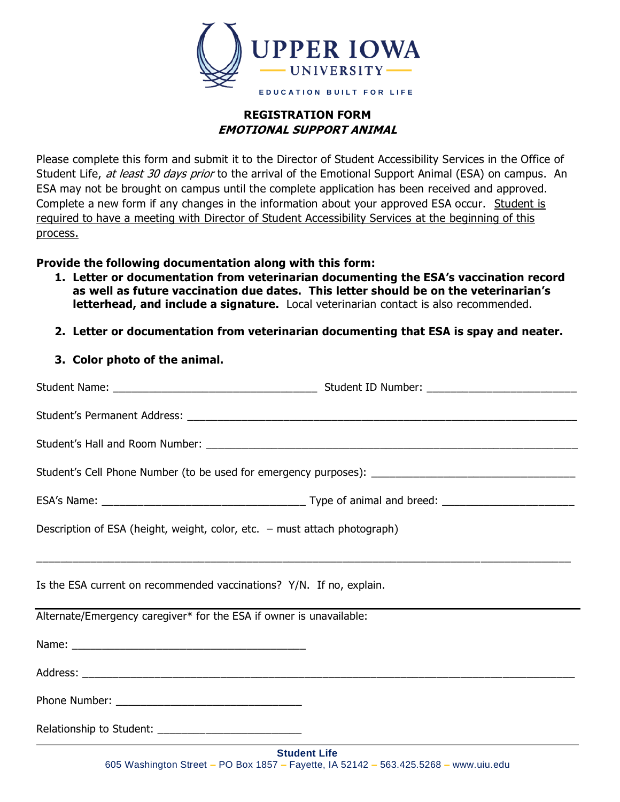

## **REGISTRATION FORM EMOTIONAL SUPPORT ANIMAL**

Please complete this form and submit it to the Director of Student Accessibility Services in the Office of Student Life, at least 30 days prior to the arrival of the Emotional Support Animal (ESA) on campus. An ESA may not be brought on campus until the complete application has been received and approved. Complete a new form if any changes in the information about your approved ESA occur. Student is required to have a meeting with Director of Student Accessibility Services at the beginning of this process.

## **Provide the following documentation along with this form:**

- **1. Letter or documentation from veterinarian documenting the ESA's vaccination record as well as future vaccination due dates. This letter should be on the veterinarian's letterhead, and include a signature.** Local veterinarian contact is also recommended.
- **2. Letter or documentation from veterinarian documenting that ESA is spay and neater.**
- **3. Color photo of the animal.**

| Description of ESA (height, weight, color, etc. - must attach photograph) |  |  |
|---------------------------------------------------------------------------|--|--|
| Is the ESA current on recommended vaccinations? Y/N. If no, explain.      |  |  |
| Alternate/Emergency caregiver* for the ESA if owner is unavailable:       |  |  |
|                                                                           |  |  |
|                                                                           |  |  |
|                                                                           |  |  |
| Relationship to Student: ____________________________                     |  |  |
| <b>Student Life</b>                                                       |  |  |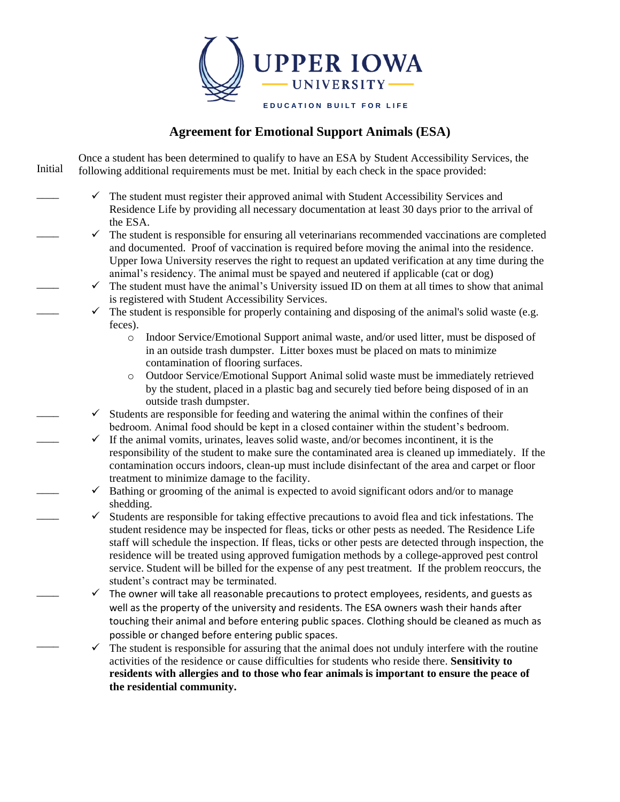

## **Agreement for Emotional Support Animals (ESA)**

Once a student has been determined to qualify to have an ESA by Student Accessibility Services, the following additional requirements must be met. Initial by each check in the space provided: Initial

 $\overline{\phantom{a}}$ 

 $\overline{\phantom{a}}$ 

 $\overline{\phantom{a}}$ 

 $\overline{\phantom{a}}$ 

 $\overline{\phantom{a}}$ 

 $\overline{\phantom{a}}$ 

 $\overline{\phantom{a}}$ 

 $\overline{\phantom{a}}$ 

 $\overline{\phantom{a}}$ 

 $\overline{\phantom{a}}$ 

- $\checkmark$  The student must register their approved animal with Student Accessibility Services and Residence Life by providing all necessary documentation at least 30 days prior to the arrival of the ESA.
- $\checkmark$  The student is responsible for ensuring all veterinarians recommended vaccinations are completed and documented. Proof of vaccination is required before moving the animal into the residence. Upper Iowa University reserves the right to request an updated verification at any time during the animal's residency. The animal must be spayed and neutered if applicable (cat or dog)
- $\checkmark$  The student must have the animal's University issued ID on them at all times to show that animal is registered with Student Accessibility Services.
- $\checkmark$  The student is responsible for properly containing and disposing of the animal's solid waste (e.g. feces).
	- o Indoor Service/Emotional Support animal waste, and/or used litter, must be disposed of in an outside trash dumpster. Litter boxes must be placed on mats to minimize contamination of flooring surfaces.
	- o Outdoor Service/Emotional Support Animal solid waste must be immediately retrieved by the student, placed in a plastic bag and securely tied before being disposed of in an outside trash dumpster.
- $\checkmark$  Students are responsible for feeding and watering the animal within the confines of their bedroom. Animal food should be kept in a closed container within the student's bedroom.
	- $\checkmark$  If the animal vomits, urinates, leaves solid waste, and/or becomes incontinent, it is the responsibility of the student to make sure the contaminated area is cleaned up immediately. If the contamination occurs indoors, clean-up must include disinfectant of the area and carpet or floor treatment to minimize damage to the facility.
	- $\checkmark$  Bathing or grooming of the animal is expected to avoid significant odors and/or to manage shedding.
	- $\checkmark$  Students are responsible for taking effective precautions to avoid flea and tick infestations. The student residence may be inspected for fleas, ticks or other pests as needed. The Residence Life staff will schedule the inspection. If fleas, ticks or other pests are detected through inspection, the residence will be treated using approved fumigation methods by a college-approved pest control service. Student will be billed for the expense of any pest treatment. If the problem reoccurs, the student's contract may be terminated.
	- $\checkmark$  The owner will take all reasonable precautions to protect employees, residents, and guests as well as the property of the university and residents. The ESA owners wash their hands after touching their animal and before entering public spaces. Clothing should be cleaned as much as possible or changed before entering public spaces.
	- $\checkmark$  The student is responsible for assuring that the animal does not unduly interfere with the routine activities of the residence or cause difficulties for students who reside there. **Sensitivity to residents with allergies and to those who fear animals is important to ensure the peace of the residential community.**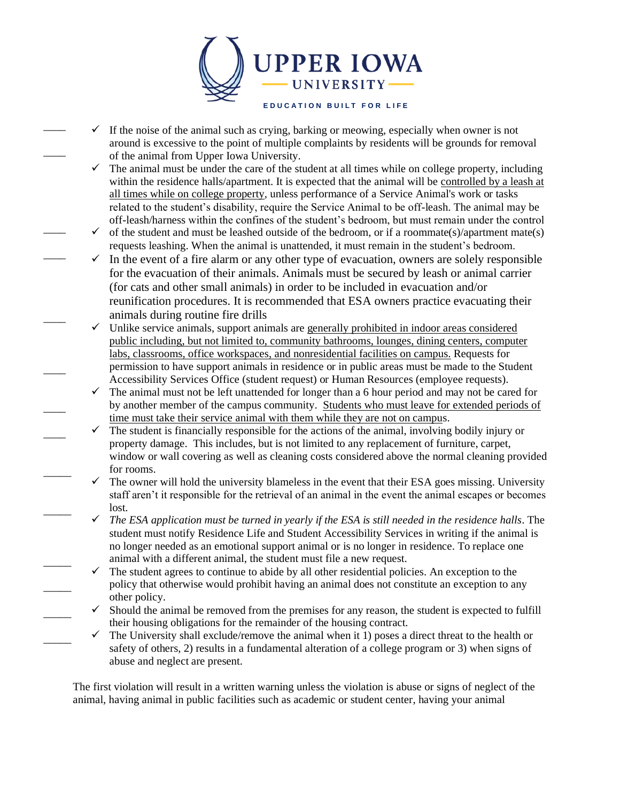

 $\checkmark$  If the noise of the animal such as crying, barking or meowing, especially when owner is not around is excessive to the point of multiple complaints by residents will be grounds for removal of the animal from Upper Iowa University.

 $\overline{\phantom{a}}$ 

 $\overline{\phantom{a}}$ 

 $\overline{\phantom{a}}$ 

 $\overline{\phantom{a}}$ 

 $\overline{\phantom{a}}$ 

 $\overline{\phantom{a}}$ 

 $\overline{\phantom{a}}$ 

 $\overline{\phantom{a}}$ 

 $\overline{\phantom{a}}$ 

 $\overline{\phantom{a}}$ 

 $\overline{\phantom{a}}$ 

 $\overline{\phantom{a}}$ 

 $\overline{\phantom{a}}$ 

 $\overline{\phantom{a}}$ 

- $\checkmark$  The animal must be under the care of the student at all times while on college property, including within the residence halls/apartment. It is expected that the animal will be controlled by a leash at all times while on college property, unless performance of a Service Animal's work or tasks related to the student's disability, require the Service Animal to be off-leash. The animal may be off-leash/harness within the confines of the student's bedroom, but must remain under the control
- $\checkmark$  of the student and must be leashed outside of the bedroom, or if a roommate(s)/apartment mate(s) requests leashing. When the animal is unattended, it must remain in the student's bedroom.
- $\checkmark$  In the event of a fire alarm or any other type of evacuation, owners are solely responsible for the evacuation of their animals. Animals must be secured by leash or animal carrier (for cats and other small animals) in order to be included in evacuation and/or reunification procedures. It is recommended that ESA owners practice evacuating their animals during routine fire drills
- $\checkmark$  Unlike service animals, support animals are generally prohibited in indoor areas considered public including, but not limited to, community bathrooms, lounges, dining centers, computer labs, classrooms, office workspaces, and nonresidential facilities on campus. Requests for permission to have support animals in residence or in public areas must be made to the Student Accessibility Services Office (student request) or Human Resources (employee requests).
- $\checkmark$  The animal must not be left unattended for longer than a 6 hour period and may not be cared for by another member of the campus community. Students who must leave for extended periods of time must take their service animal with them while they are not on campus.
- $\checkmark$  The student is financially responsible for the actions of the animal, involving bodily injury or property damage. This includes, but is not limited to any replacement of furniture, carpet, window or wall covering as well as cleaning costs considered above the normal cleaning provided for rooms.
- $\checkmark$  The owner will hold the university blameless in the event that their ESA goes missing. University staff aren't it responsible for the retrieval of an animal in the event the animal escapes or becomes lost.
	- $\checkmark$  The ESA application must be turned in yearly if the ESA is still needed in the residence halls. The student must notify Residence Life and Student Accessibility Services in writing if the animal is no longer needed as an emotional support animal or is no longer in residence. To replace one animal with a different animal, the student must file a new request.
- $\checkmark$  The student agrees to continue to abide by all other residential policies. An exception to the policy that otherwise would prohibit having an animal does not constitute an exception to any other policy.
- $\checkmark$  Should the animal be removed from the premises for any reason, the student is expected to fulfill their housing obligations for the remainder of the housing contract.
- $\checkmark$  The University shall exclude/remove the animal when it 1) poses a direct threat to the health or safety of others, 2) results in a fundamental alteration of a college program or 3) when signs of abuse and neglect are present.

The first violation will result in a written warning unless the violation is abuse or signs of neglect of the animal, having animal in public facilities such as academic or student center, having your animal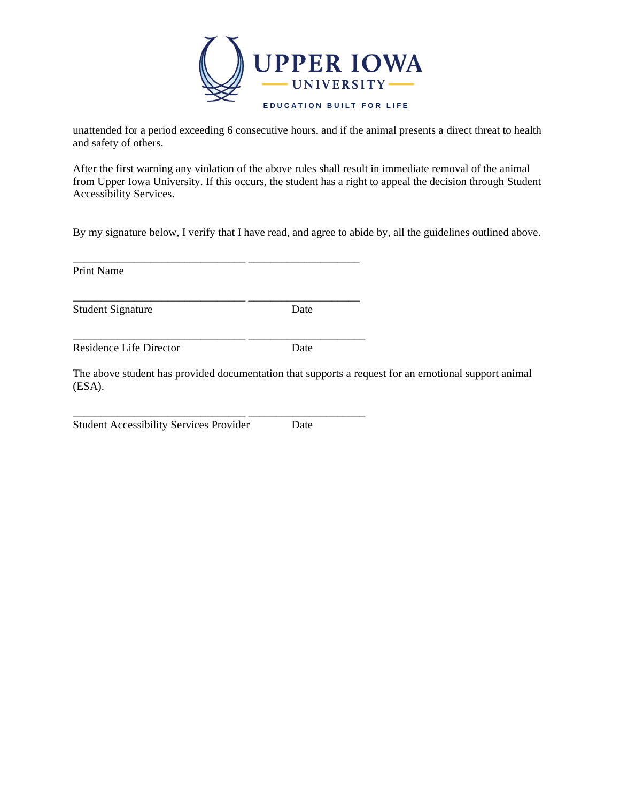

unattended for a period exceeding 6 consecutive hours, and if the animal presents a direct threat to health and safety of others.

After the first warning any violation of the above rules shall result in immediate removal of the animal from Upper Iowa University. If this occurs, the student has a right to appeal the decision through Student Accessibility Services.

By my signature below, I verify that I have read, and agree to abide by, all the guidelines outlined above.

Print Name

Student Signature Date

Residence Life Director Date

The above student has provided documentation that supports a request for an emotional support animal (ESA).

Student Accessibility Services Provider Date

\_\_\_\_\_\_\_\_\_\_\_\_\_\_\_\_\_\_\_\_\_\_\_\_\_\_\_\_\_\_\_ \_\_\_\_\_\_\_\_\_\_\_\_\_\_\_\_\_\_\_\_

\_\_\_\_\_\_\_\_\_\_\_\_\_\_\_\_\_\_\_\_\_\_\_\_\_\_\_\_\_\_\_ \_\_\_\_\_\_\_\_\_\_\_\_\_\_\_\_\_\_\_\_

\_\_\_\_\_\_\_\_\_\_\_\_\_\_\_\_\_\_\_\_\_\_\_\_\_\_\_\_\_\_\_ \_\_\_\_\_\_\_\_\_\_\_\_\_\_\_\_\_\_\_\_\_

\_\_\_\_\_\_\_\_\_\_\_\_\_\_\_\_\_\_\_\_\_\_\_\_\_\_\_\_\_\_\_ \_\_\_\_\_\_\_\_\_\_\_\_\_\_\_\_\_\_\_\_\_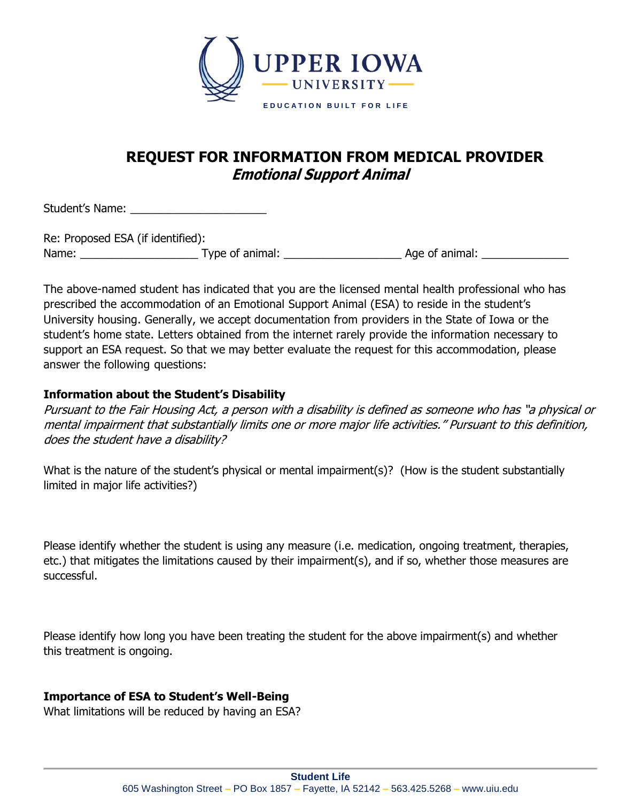

## **REQUEST FOR INFORMATION FROM MEDICAL PROVIDER Emotional Support Animal**

Student's Name: \_\_\_\_\_\_\_\_\_\_\_\_\_\_\_\_\_\_\_\_\_\_

| Re: Proposed ESA (if identified): |                 |                |
|-----------------------------------|-----------------|----------------|
| Name:                             | Type of animal: | Age of animal: |

The above-named student has indicated that you are the licensed mental health professional who has prescribed the accommodation of an Emotional Support Animal (ESA) to reside in the student's University housing. Generally, we accept documentation from providers in the State of Iowa or the student's home state. Letters obtained from the internet rarely provide the information necessary to support an ESA request. So that we may better evaluate the request for this accommodation, please answer the following questions:

## **Information about the Student's Disability**

Pursuant to the Fair Housing Act, a person with a disability is defined as someone who has "a physical or mental impairment that substantially limits one or more major life activities." Pursuant to this definition, does the student have a disability?

What is the nature of the student's physical or mental impairment(s)? (How is the student substantially limited in major life activities?)

Please identify whether the student is using any measure (i.e. medication, ongoing treatment, therapies, etc.) that mitigates the limitations caused by their impairment(s), and if so, whether those measures are successful.

Please identify how long you have been treating the student for the above impairment(s) and whether this treatment is ongoing.

## **Importance of ESA to Student's Well-Being**

What limitations will be reduced by having an ESA?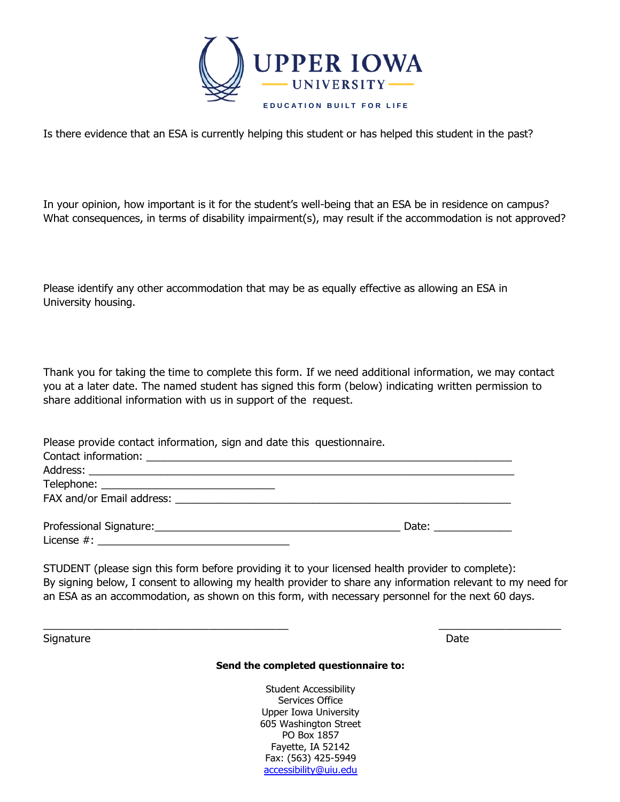

Is there evidence that an ESA is currently helping this student or has helped this student in the past?

In your opinion, how important is it for the student's well-being that an ESA be in residence on campus? What consequences, in terms of disability impairment(s), may result if the accommodation is not approved?

Please identify any other accommodation that may be as equally effective as allowing an ESA in University housing.

Thank you for taking the time to complete this form. If we need additional information, we may contact you at a later date. The named student has signed this form (below) indicating written permission to share additional information with us in support of the request.

Please provide contact information, sign and date this questionnaire.

| Date: $\qquad \qquad$ |
|-----------------------|

STUDENT (please sign this form before providing it to your licensed health provider to complete): By signing below, I consent to allowing my health provider to share any information relevant to my need for an ESA as an accommodation, as shown on this form, with necessary personnel for the next 60 days.

\_\_\_\_\_\_\_\_\_\_\_\_\_\_\_\_\_\_\_\_\_\_\_\_\_\_\_\_\_\_\_\_\_\_\_\_\_\_\_\_ \_\_\_\_\_\_\_\_\_\_\_\_\_\_\_\_\_\_\_\_

Signature **Date** 

#### **Send the completed questionnaire to:**

Student Accessibility Services Office Upper Iowa University 605 Washington Street PO Box 1857 Fayette, IA 52142 Fax: (563) 425-5949 accessibility@uiu.edu